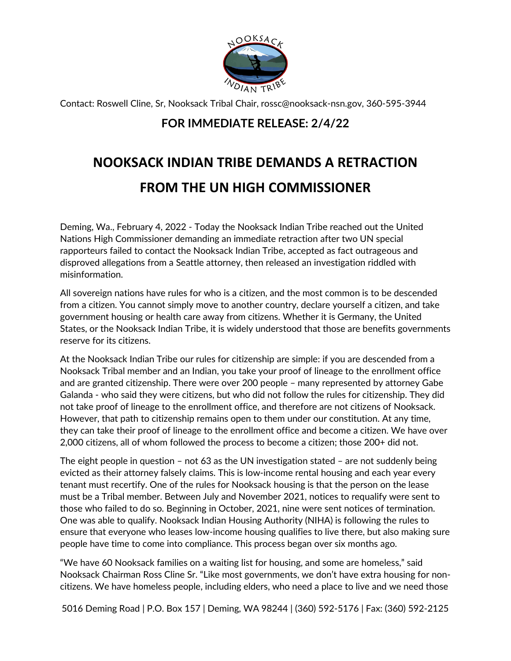

Contact: Roswell Cline, Sr, Nooksack Tribal Chair, rossc@nooksack-nsn.gov, 360-595-3944

## **FOR IMMEDIATE RELEASE: 2/4/22**

## **NOOKSACK INDIAN TRIBE DEMANDS A RETRACTION FROM THE UN HIGH COMMISSIONER**

Deming, Wa., February 4, 2022 - Today the Nooksack Indian Tribe reached out the United Nations High Commissioner demanding an immediate retraction after two UN special rapporteurs failed to contact the Nooksack Indian Tribe, accepted as fact outrageous and disproved allegations from a Seattle attorney, then released an investigation riddled with misinformation.

All sovereign nations have rules for who is a citizen, and the most common is to be descended from a citizen. You cannot simply move to another country, declare yourself a citizen, and take government housing or health care away from citizens. Whether it is Germany, the United States, or the Nooksack Indian Tribe, it is widely understood that those are benefits governments reserve for its citizens.

At the Nooksack Indian Tribe our rules for citizenship are simple: if you are descended from a Nooksack Tribal member and an Indian, you take your proof of lineage to the enrollment office and are granted citizenship. There were over 200 people – many represented by attorney Gabe Galanda - who said they were citizens, but who did not follow the rules for citizenship. They did not take proof of lineage to the enrollment office, and therefore are not citizens of Nooksack. However, that path to citizenship remains open to them under our constitution. At any time, they can take their proof of lineage to the enrollment office and become a citizen. We have over 2,000 citizens, all of whom followed the process to become a citizen; those 200+ did not.

The eight people in question – not 63 as the UN investigation stated – are not suddenly being evicted as their attorney falsely claims. This is low-income rental housing and each year every tenant must recertify. One of the rules for Nooksack housing is that the person on the lease must be a Tribal member. Between July and November 2021, notices to requalify were sent to those who failed to do so. Beginning in October, 2021, nine were sent notices of termination. One was able to qualify. Nooksack Indian Housing Authority (NIHA) is following the rules to ensure that everyone who leases low-income housing qualifies to live there, but also making sure people have time to come into compliance. This process began over six months ago.

"We have 60 Nooksack families on a waiting list for housing, and some are homeless," said Nooksack Chairman Ross Cline Sr. "Like most governments, we don't have extra housing for noncitizens. We have homeless people, including elders, who need a place to live and we need those

5016 Deming Road | P.O. Box 157 | Deming, WA 98244 | (360) 592-5176 | Fax: (360) 592-2125